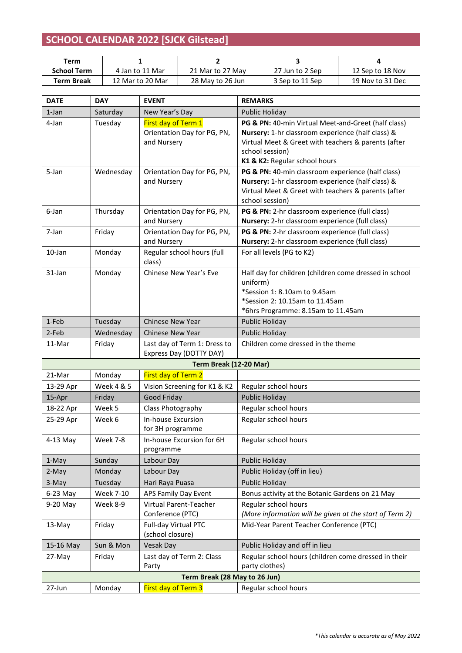## **SCHOOL CALENDAR 2022 [SJCK Gilstead]**

| Term               |                  |                  |                 |                  |
|--------------------|------------------|------------------|-----------------|------------------|
| <b>School Term</b> | 4 Jan to 11 Mar  | 21 Mar to 27 May | 27 Jun to 2 Sep | 12 Sep to 18 Nov |
| Term Break         | 12 Mar to 20 Mar | 28 May to 26 Jun | 3 Sep to 11 Sep | 19 Nov to 31 Dec |

| <b>DATE</b> | <b>DAY</b>            | <b>EVENT</b>                                                      | <b>REMARKS</b>                                                                                                                                                                                                      |
|-------------|-----------------------|-------------------------------------------------------------------|---------------------------------------------------------------------------------------------------------------------------------------------------------------------------------------------------------------------|
| $1$ -Jan    | Saturday              | New Year's Day                                                    | Public Holiday                                                                                                                                                                                                      |
| 4-Jan       | Tuesday               | First day of Term 1<br>Orientation Day for PG, PN,<br>and Nursery | PG & PN: 40-min Virtual Meet-and-Greet (half class)<br>Nursery: 1-hr classroom experience (half class) &<br>Virtual Meet & Greet with teachers & parents (after<br>school session)<br>K1 & K2: Regular school hours |
| 5-Jan       | Wednesday             | Orientation Day for PG, PN,<br>and Nursery                        | PG & PN: 40-min classroom experience (half class)<br>Nursery: 1-hr classroom experience (half class) &<br>Virtual Meet & Greet with teachers & parents (after<br>school session)                                    |
| 6-Jan       | Thursday              | Orientation Day for PG, PN,<br>and Nursery                        | PG & PN: 2-hr classroom experience (full class)<br>Nursery: 2-hr classroom experience (full class)                                                                                                                  |
| 7-Jan       | Friday                | Orientation Day for PG, PN,<br>and Nursery                        | PG & PN: 2-hr classroom experience (full class)<br>Nursery: 2-hr classroom experience (full class)                                                                                                                  |
| 10-Jan      | Monday                | Regular school hours (full<br>class)                              | For all levels (PG to K2)                                                                                                                                                                                           |
| 31-Jan      | Monday                | Chinese New Year's Eve                                            | Half day for children (children come dressed in school<br>uniform)<br>*Session 1: 8.10am to 9.45am<br>*Session 2: 10.15am to 11.45am<br>*6hrs Programme: 8.15am to 11.45am                                          |
| 1-Feb       | Tuesday               | <b>Chinese New Year</b>                                           | Public Holiday                                                                                                                                                                                                      |
| 2-Feb       | Wednesday             | <b>Chinese New Year</b>                                           | <b>Public Holiday</b>                                                                                                                                                                                               |
| 11-Mar      | Friday                | Last day of Term 1: Dress to<br>Express Day (DOTTY DAY)           | Children come dressed in the theme                                                                                                                                                                                  |
|             |                       | Term Break (12-20 Mar)                                            |                                                                                                                                                                                                                     |
| 21-Mar      | Monday                | <b>First day of Term 2</b>                                        |                                                                                                                                                                                                                     |
| 13-29 Apr   | <b>Week 4 &amp; 5</b> | Vision Screening for K1 & K2                                      | Regular school hours                                                                                                                                                                                                |
| 15-Apr      | Friday                | Good Friday                                                       | <b>Public Holiday</b>                                                                                                                                                                                               |
| 18-22 Apr   | Week 5                | Class Photography                                                 | Regular school hours                                                                                                                                                                                                |
| 25-29 Apr   | Week 6                | <b>In-house Excursion</b><br>for 3H programme                     | Regular school hours                                                                                                                                                                                                |
| 4-13 May    | <b>Week 7-8</b>       | In-house Excursion for 6H<br>programme                            | Regular school hours                                                                                                                                                                                                |
| 1-May       | Sunday                | Labour Day                                                        | <b>Public Holiday</b>                                                                                                                                                                                               |
| 2-May       | Monday                | Labour Day                                                        | Public Holiday (off in lieu)                                                                                                                                                                                        |
| 3-May       | Tuesday               | Hari Raya Puasa                                                   | Public Holiday                                                                                                                                                                                                      |
| $6-23$ May  | <b>Week 7-10</b>      | APS Family Day Event                                              | Bonus activity at the Botanic Gardens on 21 May                                                                                                                                                                     |
| 9-20 May    | Week 8-9              | Virtual Parent-Teacher                                            | Regular school hours                                                                                                                                                                                                |
|             |                       | Conference (PTC)                                                  | (More information will be given at the start of Term 2)                                                                                                                                                             |
| 13-May      | Friday                | Full-day Virtual PTC<br>(school closure)                          | Mid-Year Parent Teacher Conference (PTC)                                                                                                                                                                            |
| 15-16 May   | Sun & Mon             | Vesak Day                                                         | Public Holiday and off in lieu                                                                                                                                                                                      |
| 27-May      | Friday                | Last day of Term 2: Class<br>Party                                | Regular school hours (children come dressed in their<br>party clothes)                                                                                                                                              |
|             |                       | Term Break (28 May to 26 Jun)                                     |                                                                                                                                                                                                                     |
| 27-Jun      | Monday                | First day of Term 3                                               | Regular school hours                                                                                                                                                                                                |